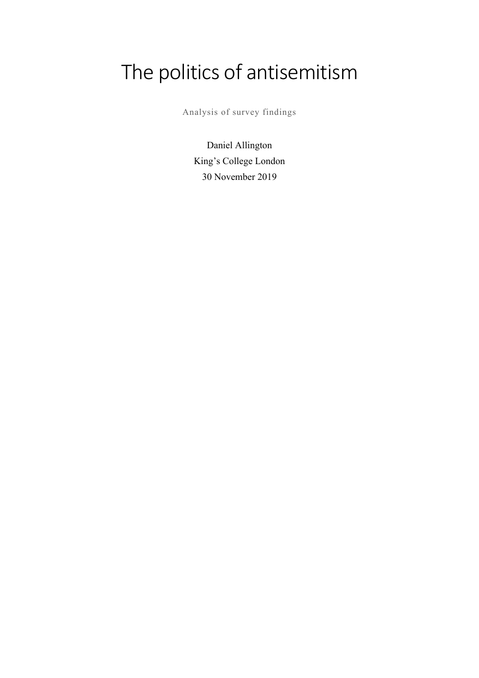# The politics of antisemitism

Analysis of survey findings

Daniel Allington King's College London 30 November 2019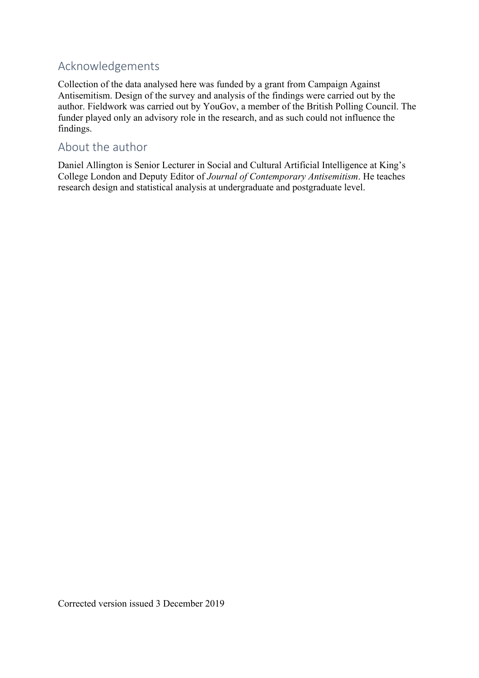## Acknowledgements

Collection of the data analysed here was funded by a grant from Campaign Against Antisemitism. Design of the survey and analysis of the findings were carried out by the author. Fieldwork was carried out by YouGov, a member of the British Polling Council. The funder played only an advisory role in the research, and as such could not influence the findings.

## About the author

Daniel Allington is Senior Lecturer in Social and Cultural Artificial Intelligence at King's College London and Deputy Editor of *Journal of Contemporary Antisemitism*. He teaches research design and statistical analysis at undergraduate and postgraduate level.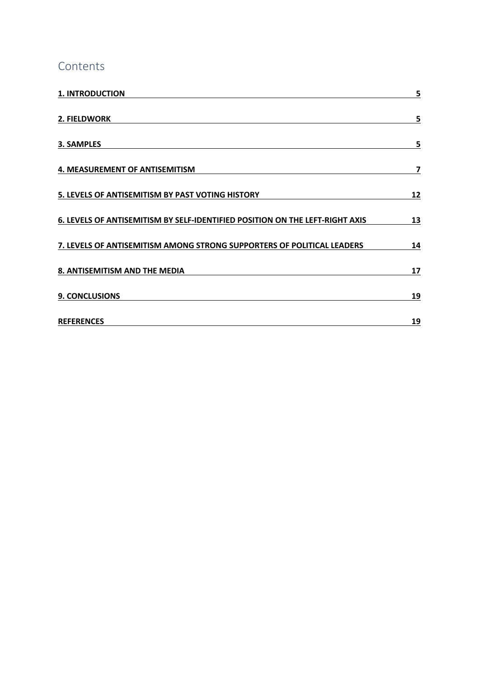## Contents

| <b>1. INTRODUCTION</b>                                                       | 5  |
|------------------------------------------------------------------------------|----|
| 2. FIELDWORK                                                                 | 5  |
| 3. SAMPLES                                                                   | 5  |
| 4. MEASUREMENT OF ANTISEMITISM                                               | 7  |
| 5. LEVELS OF ANTISEMITISM BY PAST VOTING HISTORY                             | 12 |
| 6. LEVELS OF ANTISEMITISM BY SELF-IDENTIFIED POSITION ON THE LEFT-RIGHT AXIS | 13 |
| 7. LEVELS OF ANTISEMITISM AMONG STRONG SUPPORTERS OF POLITICAL LEADERS       | 14 |
| 8. ANTISEMITISM AND THE MEDIA                                                | 17 |
| <b>9. CONCLUSIONS</b>                                                        | 19 |
| <b>REFERENCES</b>                                                            | 19 |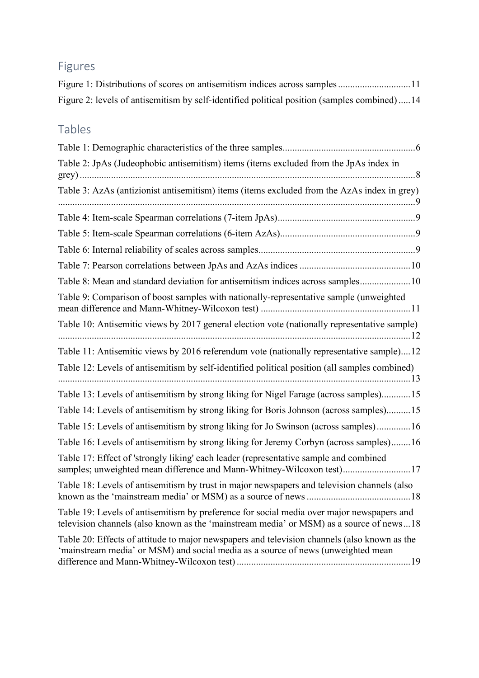## Figures

| Figure 2: levels of antisemitism by self-identified political position (samples combined)14 |  |  |  |
|---------------------------------------------------------------------------------------------|--|--|--|

## Tables

| Table 2: JpAs (Judeophobic antisemitism) items (items excluded from the JpAs index in                                                                                                |
|--------------------------------------------------------------------------------------------------------------------------------------------------------------------------------------|
| Table 3: AzAs (antizionist antisemitism) items (items excluded from the AzAs index in grey)                                                                                          |
|                                                                                                                                                                                      |
|                                                                                                                                                                                      |
|                                                                                                                                                                                      |
|                                                                                                                                                                                      |
| Table 8: Mean and standard deviation for antisemitism indices across samples10                                                                                                       |
| Table 9: Comparison of boost samples with nationally-representative sample (unweighted                                                                                               |
| Table 10: Antisemitic views by 2017 general election vote (nationally representative sample)                                                                                         |
| Table 11: Antisemitic views by 2016 referendum vote (nationally representative sample)12                                                                                             |
| Table 12: Levels of antisemitism by self-identified political position (all samples combined)                                                                                        |
| Table 13: Levels of antisemitism by strong liking for Nigel Farage (across samples)15                                                                                                |
| Table 14: Levels of antisemitism by strong liking for Boris Johnson (across samples)15                                                                                               |
| Table 15: Levels of antisemitism by strong liking for Jo Swinson (across samples)16                                                                                                  |
| Table 16: Levels of antisemitism by strong liking for Jeremy Corbyn (across samples)16                                                                                               |
| Table 17: Effect of 'strongly liking' each leader (representative sample and combined<br>samples; unweighted mean difference and Mann-Whitney-Wilcoxon test)17                       |
| Table 18: Levels of antisemitism by trust in major newspapers and television channels (also                                                                                          |
| Table 19: Levels of antisemitism by preference for social media over major newspapers and<br>television channels (also known as the 'mainstream media' or MSM) as a source of news18 |
| Table 20: Effects of attitude to major newspapers and television channels (also known as the<br>'mainstream media' or MSM) and social media as a source of news (unweighted mean     |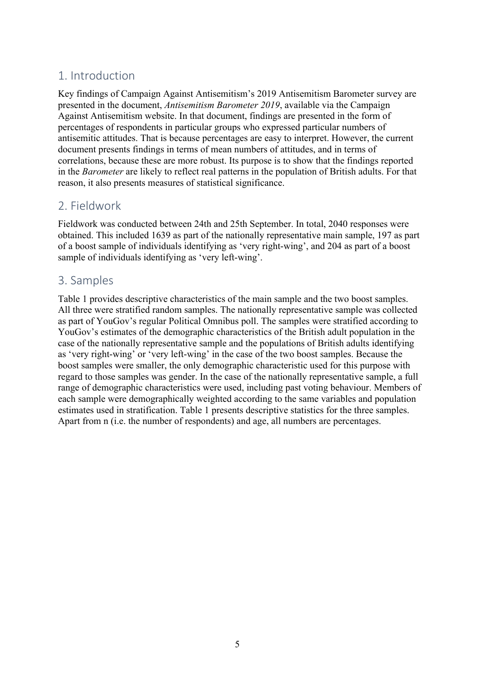## 1. Introduction

Key findings of Campaign Against Antisemitism's 2019 Antisemitism Barometer survey are presented in the document, *Antisemitism Barometer 2019*, available via the Campaign Against Antisemitism website. In that document, findings are presented in the form of percentages of respondents in particular groups who expressed particular numbers of antisemitic attitudes. That is because percentages are easy to interpret. However, the current document presents findings in terms of mean numbers of attitudes, and in terms of correlations, because these are more robust. Its purpose is to show that the findings reported in the *Barometer* are likely to reflect real patterns in the population of British adults. For that reason, it also presents measures of statistical significance.

## 2. Fieldwork

Fieldwork was conducted between 24th and 25th September. In total, 2040 responses were obtained. This included 1639 as part of the nationally representative main sample, 197 as part of a boost sample of individuals identifying as 'very right-wing', and 204 as part of a boost sample of individuals identifying as 'very left-wing'.

## 3. Samples

Table 1 provides descriptive characteristics of the main sample and the two boost samples. All three were stratified random samples. The nationally representative sample was collected as part of YouGov's regular Political Omnibus poll. The samples were stratified according to YouGov's estimates of the demographic characteristics of the British adult population in the case of the nationally representative sample and the populations of British adults identifying as 'very right-wing' or 'very left-wing' in the case of the two boost samples. Because the boost samples were smaller, the only demographic characteristic used for this purpose with regard to those samples was gender. In the case of the nationally representative sample, a full range of demographic characteristics were used, including past voting behaviour. Members of each sample were demographically weighted according to the same variables and population estimates used in stratification. Table 1 presents descriptive statistics for the three samples. Apart from n (i.e. the number of respondents) and age, all numbers are percentages.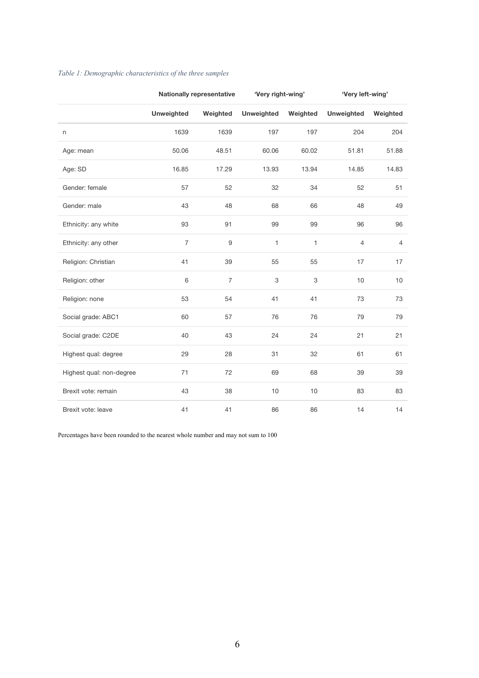|                          |                   | <b>Nationally representative</b> | 'Very right-wing' |              | 'Very left-wing'  |                |
|--------------------------|-------------------|----------------------------------|-------------------|--------------|-------------------|----------------|
|                          | <b>Unweighted</b> | Weighted                         | <b>Unweighted</b> | Weighted     | <b>Unweighted</b> | Weighted       |
| n                        | 1639              | 1639                             | 197               | 197          | 204               | 204            |
| Age: mean                | 50.06             | 48.51                            | 60.06             | 60.02        | 51.81             | 51.88          |
| Age: SD                  | 16.85             | 17.29                            | 13.93             | 13.94        | 14.85             | 14.83          |
| Gender: female           | 57                | 52                               | 32                | 34           | 52                | 51             |
| Gender: male             | 43                | 48                               | 68                | 66           | 48                | 49             |
| Ethnicity: any white     | 93                | 91                               | 99                | 99           | 96                | 96             |
| Ethnicity: any other     | $\overline{7}$    | $9\,$                            | 1                 | $\mathbf{1}$ | $\overline{4}$    | $\overline{4}$ |
| Religion: Christian      | 41                | 39                               | 55                | 55           | 17                | 17             |
| Religion: other          | 6                 | $\overline{7}$                   | 3                 | 3            | 10                | 10             |
| Religion: none           | 53                | 54                               | 41                | 41           | 73                | 73             |
| Social grade: ABC1       | 60                | 57                               | 76                | 76           | 79                | 79             |
| Social grade: C2DE       | 40                | 43                               | 24                | 24           | 21                | 21             |
| Highest qual: degree     | 29                | 28                               | 31                | 32           | 61                | 61             |
| Highest qual: non-degree | 71                | 72                               | 69                | 68           | 39                | 39             |
| Brexit vote: remain      | 43                | 38                               | 10                | $10$         | 83                | 83             |
| Brexit vote: leave       | 41                | 41                               | 86                | 86           | 14                | 14             |

#### *Table 1: Demographic characteristics of the three samples*

Percentages have been rounded to the nearest whole number and may not sum to 100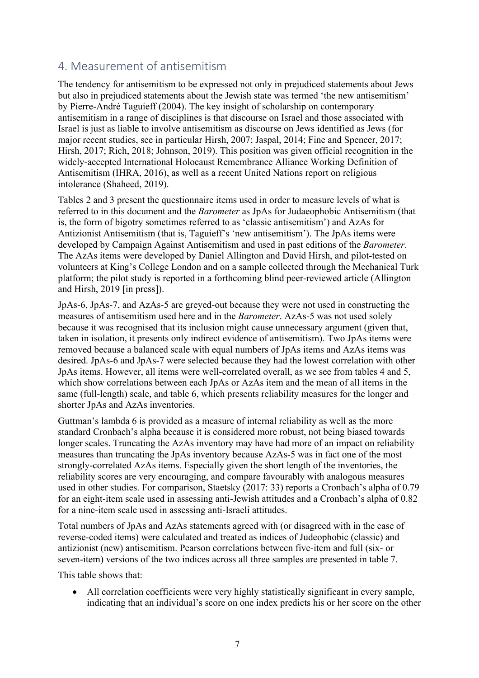## 4. Measurement of antisemitism

The tendency for antisemitism to be expressed not only in prejudiced statements about Jews but also in prejudiced statements about the Jewish state was termed 'the new antisemitism' by Pierre-André Taguieff (2004). The key insight of scholarship on contemporary antisemitism in a range of disciplines is that discourse on Israel and those associated with Israel is just as liable to involve antisemitism as discourse on Jews identified as Jews (for major recent studies, see in particular Hirsh, 2007; Jaspal, 2014; Fine and Spencer, 2017; Hirsh, 2017; Rich, 2018; Johnson, 2019). This position was given official recognition in the widely-accepted International Holocaust Remembrance Alliance Working Definition of Antisemitism (IHRA, 2016), as well as a recent United Nations report on religious intolerance (Shaheed, 2019).

Tables 2 and 3 present the questionnaire items used in order to measure levels of what is referred to in this document and the *Barometer* as JpAs for Judaeophobic Antisemitism (that is, the form of bigotry sometimes referred to as 'classic antisemitism') and AzAs for Antizionist Antisemitism (that is, Taguieff's 'new antisemitism'). The JpAs items were developed by Campaign Against Antisemitism and used in past editions of the *Barometer*. The AzAs items were developed by Daniel Allington and David Hirsh, and pilot-tested on volunteers at King's College London and on a sample collected through the Mechanical Turk platform; the pilot study is reported in a forthcoming blind peer-reviewed article (Allington and Hirsh, 2019 [in press]).

JpAs-6, JpAs-7, and AzAs-5 are greyed-out because they were not used in constructing the measures of antisemitism used here and in the *Barometer*. AzAs-5 was not used solely because it was recognised that its inclusion might cause unnecessary argument (given that, taken in isolation, it presents only indirect evidence of antisemitism). Two JpAs items were removed because a balanced scale with equal numbers of JpAs items and AzAs items was desired. JpAs-6 and JpAs-7 were selected because they had the lowest correlation with other JpAs items. However, all items were well-correlated overall, as we see from tables 4 and 5, which show correlations between each JpAs or AzAs item and the mean of all items in the same (full-length) scale, and table 6, which presents reliability measures for the longer and shorter JpAs and AzAs inventories.

Guttman's lambda 6 is provided as a measure of internal reliability as well as the more standard Cronbach's alpha because it is considered more robust, not being biased towards longer scales. Truncating the AzAs inventory may have had more of an impact on reliability measures than truncating the JpAs inventory because AzAs-5 was in fact one of the most strongly-correlated AzAs items. Especially given the short length of the inventories, the reliability scores are very encouraging, and compare favourably with analogous measures used in other studies. For comparison, Staetsky (2017: 33) reports a Cronbach's alpha of 0.79 for an eight-item scale used in assessing anti-Jewish attitudes and a Cronbach's alpha of 0.82 for a nine-item scale used in assessing anti-Israeli attitudes.

Total numbers of JpAs and AzAs statements agreed with (or disagreed with in the case of reverse-coded items) were calculated and treated as indices of Judeophobic (classic) and antizionist (new) antisemitism. Pearson correlations between five-item and full (six- or seven-item) versions of the two indices across all three samples are presented in table 7.

This table shows that:

• All correlation coefficients were very highly statistically significant in every sample, indicating that an individual's score on one index predicts his or her score on the other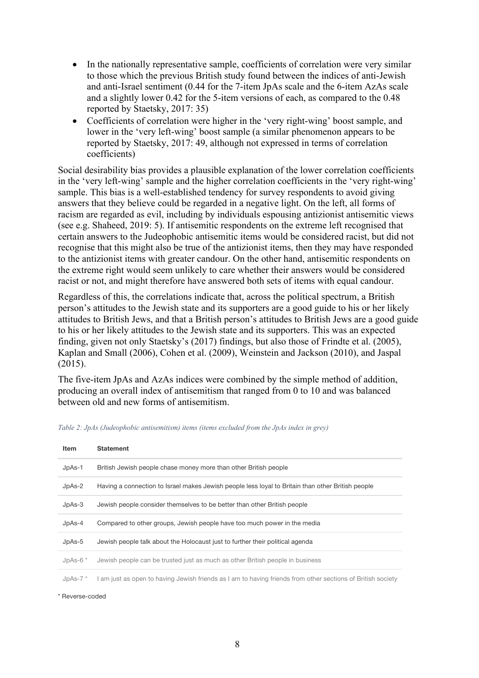- In the nationally representative sample, coefficients of correlation were very similar to those which the previous British study found between the indices of anti-Jewish and anti-Israel sentiment (0.44 for the 7-item JpAs scale and the 6-item AzAs scale and a slightly lower 0.42 for the 5-item versions of each, as compared to the 0.48 reported by Staetsky, 2017: 35)
- Coefficients of correlation were higher in the 'very right-wing' boost sample, and lower in the 'very left-wing' boost sample (a similar phenomenon appears to be reported by Staetsky, 2017: 49, although not expressed in terms of correlation coefficients)

Social desirability bias provides a plausible explanation of the lower correlation coefficients in the 'very left-wing' sample and the higher correlation coefficients in the 'very right-wing' sample. This bias is a well-established tendency for survey respondents to avoid giving answers that they believe could be regarded in a negative light. On the left, all forms of racism are regarded as evil, including by individuals espousing antizionist antisemitic views (see e.g. Shaheed, 2019: 5). If antisemitic respondents on the extreme left recognised that certain answers to the Judeophobic antisemitic items would be considered racist, but did not recognise that this might also be true of the antizionist items, then they may have responded to the antizionist items with greater candour. On the other hand, antisemitic respondents on the extreme right would seem unlikely to care whether their answers would be considered racist or not, and might therefore have answered both sets of items with equal candour.

Regardless of this, the correlations indicate that, across the political spectrum, a British person's attitudes to the Jewish state and its supporters are a good guide to his or her likely attitudes to British Jews, and that a British person's attitudes to British Jews are a good guide to his or her likely attitudes to the Jewish state and its supporters. This was an expected finding, given not only Staetsky's (2017) findings, but also those of Frindte et al. (2005), Kaplan and Small (2006), Cohen et al. (2009), Weinstein and Jackson (2010), and Jaspal (2015).

The five-item JpAs and AzAs indices were combined by the simple method of addition, producing an overall index of antisemitism that ranged from 0 to 10 and was balanced between old and new forms of antisemitism.

| Item        | <b>Statement</b>                                                                                          |
|-------------|-----------------------------------------------------------------------------------------------------------|
| $JpAs-1$    | British Jewish people chase money more than other British people                                          |
| $JpAs-2$    | Having a connection to Israel makes Jewish people less loyal to Britain than other British people         |
| $JpAs-3$    | Jewish people consider themselves to be better than other British people                                  |
| $JpAs-4$    | Compared to other groups, Jewish people have too much power in the media                                  |
| $JpAs-5$    | Jewish people talk about the Holocaust just to further their political agenda                             |
| JpAs- $6*$  | Jewish people can be trusted just as much as other British people in business                             |
| JpAs- $7^*$ | am just as open to having Jewish friends as I am to having friends from other sections of British society |

*Table 2: JpAs (Judeophobic antisemitism) items (items excluded from the JpAs index in grey)*

\* Reverse-coded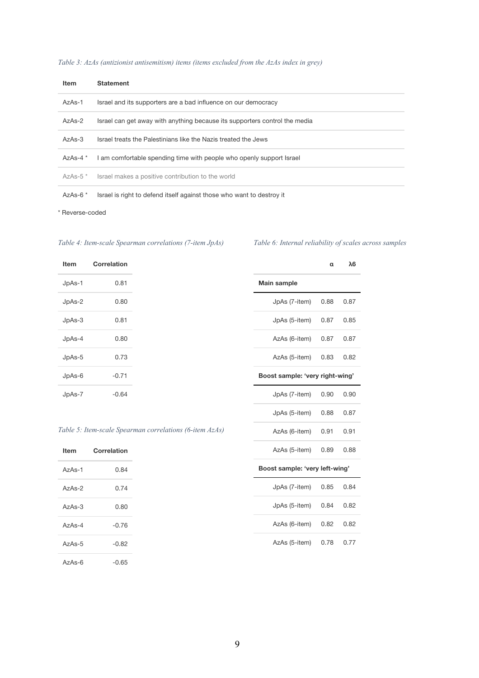| Table 3: AzAs (antizionist antisemitism) items (items excluded from the AzAs index in grey) |  |  |
|---------------------------------------------------------------------------------------------|--|--|
|                                                                                             |  |  |

| <b>Item</b>  | <b>Statement</b>                                                           |
|--------------|----------------------------------------------------------------------------|
| AzAs-1       | Israel and its supporters are a bad influence on our democracy             |
| $AzAs-2$     | Israel can get away with anything because its supporters control the media |
| $A7AS-3$     | Israel treats the Palestinians like the Nazis treated the Jews             |
| AzAs-4 $*$   | I am comfortable spending time with people who openly support Israel       |
| $AzAs-5$ $*$ | Israel makes a positive contribution to the world                          |
| AzAs- $6*$   | Israel is right to defend itself against those who want to destroy it      |

\* Reverse-coded

#### *Table 4: Item-scale Spearman correlations (7-item JpAs)*

*Table 6: Internal reliability of scales across samples*

**α λ6**

| <b>Item</b> | Correlation |
|-------------|-------------|
| JpAs-1      | 0.81        |
| JpAs-2      | 0.80        |
| JpAs-3      | 0.81        |
| JpAs-4      | 0.80        |
| JpAs-5      | 0.73        |
| JpAs-6      | $-0.71$     |
| JpAs-7      | $-0.64$     |

| Main sample                     |      |      |  |  |  |
|---------------------------------|------|------|--|--|--|
| JpAs (7-item)                   | 0.88 | 0.87 |  |  |  |
| $JpAs (5-item)$ 0.87            |      | 0.85 |  |  |  |
| AzAs (6-item) 0.87              |      | 0.87 |  |  |  |
| AzAs (5-item) 0.83              |      | 0.82 |  |  |  |
| Boost sample: 'very right-wing' |      |      |  |  |  |
| JpAs (7-item)                   | 0.90 | 0.90 |  |  |  |
| JpAs (5-item)                   | 0.88 | 0.87 |  |  |  |
| AzAs (6-item)                   | 0.91 | 0.91 |  |  |  |
| AzAs (5-item)                   | 0.89 | 0.88 |  |  |  |
| Boost sample: 'very left-wing'  |      |      |  |  |  |
| JpAs $(7$ -item $)$ 0.85        |      | 0.84 |  |  |  |
| JpAs (5-item) 0.84              |      | 0.82 |  |  |  |
|                                 |      |      |  |  |  |

#### *Table 5: Item-scale Spearman correlations (6-item AzAs)*

| Item     | Correlation |
|----------|-------------|
| $AzAs-1$ | 0.84        |
| $A7AS-2$ | 0.74        |
| $A7AS-3$ | 0.80        |
| $A7AS-4$ | $-0.76$     |
| AzAs-5   | $-0.82$     |
| $A7AS-6$ | $-0.65$     |

| AzAs (6-item) | 0.82 0.82 |  |
|---------------|-----------|--|
| AzAs (5-item) | 0.78 0.77 |  |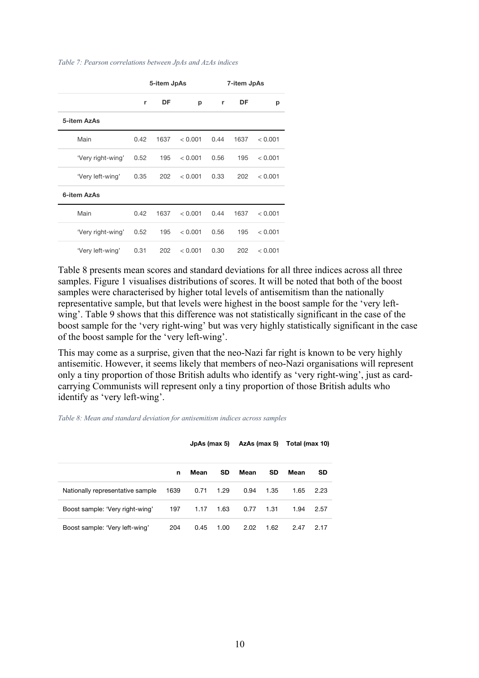#### *Table 7: Pearson correlations between JpAs and AzAs indices*

|                   | 5-item JpAs |      | 7-item JpAs |      |      |         |
|-------------------|-------------|------|-------------|------|------|---------|
|                   | r           | DF   | р           | r    | DF   | р       |
| 5-item AzAs       |             |      |             |      |      |         |
| Main              | 0.42        | 1637 | < 0.001     | 0.44 | 1637 | < 0.001 |
| 'Very right-wing' | 0.52        | 195  | < 0.001     | 0.56 | 195  | < 0.001 |
| 'Very left-wing'  | 0.35        | 202  | < 0.001     | 0.33 | 202  | < 0.001 |
| 6-item AzAs       |             |      |             |      |      |         |
| Main              | 0.42        | 1637 | < 0.001     | 0.44 | 1637 | < 0.001 |
| 'Very right-wing' | 0.52        | 195  | < 0.001     | 0.56 | 195  | < 0.001 |
| 'Very left-wing'  | 0.31        | 202  | < 0.001     | 0.30 | 202  | < 0.001 |

Table 8 presents mean scores and standard deviations for all three indices across all three samples. Figure 1 visualises distributions of scores. It will be noted that both of the boost samples were characterised by higher total levels of antisemitism than the nationally representative sample, but that levels were highest in the boost sample for the 'very leftwing'. Table 9 shows that this difference was not statistically significant in the case of the boost sample for the 'very right-wing' but was very highly statistically significant in the case of the boost sample for the 'very left-wing'.

This may come as a surprise, given that the neo-Nazi far right is known to be very highly antisemitic. However, it seems likely that members of neo-Nazi organisations will represent only a tiny proportion of those British adults who identify as 'very right-wing', just as cardcarrying Communists will represent only a tiny proportion of those British adults who identify as 'very left-wing'.

*Table 8: Mean and standard deviation for antisemitism indices across samples*

|                                  |      | JpAs (max 5) |      |      |           | AzAs (max 5) Total (max 10) |           |
|----------------------------------|------|--------------|------|------|-----------|-----------------------------|-----------|
|                                  | n    | Mean         | SD.  | Mean | <b>SD</b> | Mean                        | <b>SD</b> |
| Nationally representative sample | 1639 | 0.71         | 1.29 | 0.94 | 1.35      | 1.65                        | 2.23      |
| Boost sample: 'Very right-wing'  | 197  | 1.17         | 1.63 | 0.77 | 1.31      | 1.94                        | 2.57      |
| Boost sample: 'Very left-wing'   | 204  | 0.45         | 1.00 | 2.02 | 1.62      | 2.47                        | 2.17      |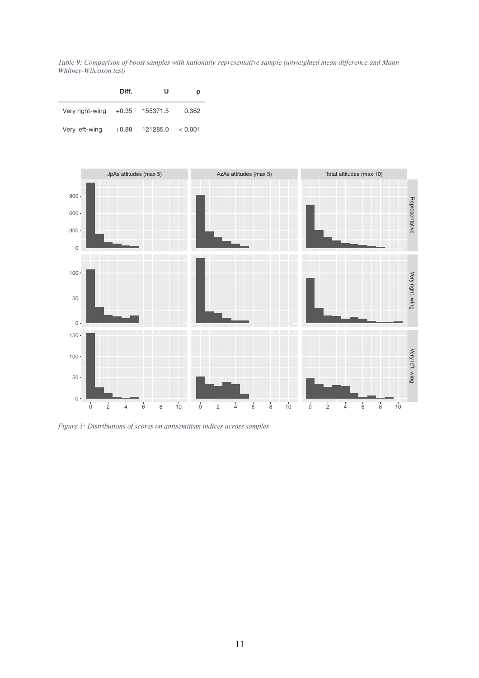*Table 9: Comparison of boost samples with nationally-representative sample (unweighted mean difference and Mann-Whitney-Wilcoxon test)*

|                 | Diff.   | u                | р       |
|-----------------|---------|------------------|---------|
| Very right-wing |         | $+0.35$ 155371.5 | 0.362   |
| Very left-wing  | $+0.88$ | 121285.0         | < 0.001 |



*Figure 1: Distributions of scores on antisemitism indices across samples*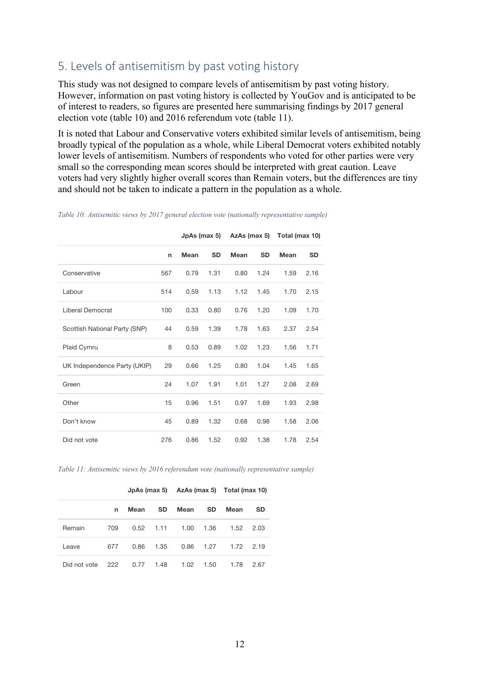## 5. Levels of antisemitism by past voting history

This study was not designed to compare levels of antisemitism by past voting history. However, information on past voting history is collected by YouGov and is anticipated to be of interest to readers, so figures are presented here summarising findings by 2017 general election vote (table 10) and 2016 referendum vote (table 11).

It is noted that Labour and Conservative voters exhibited similar levels of antisemitism, being broadly typical of the population as a whole, while Liberal Democrat voters exhibited notably lower levels of antisemitism. Numbers of respondents who voted for other parties were very small so the corresponding mean scores should be interpreted with great caution. Leave voters had very slightly higher overall scores than Remain voters, but the differences are tiny and should not be taken to indicate a pattern in the population as a whole.

|                               |     |      | JpAs (max 5) |             |           | AzAs (max 5) Total (max 10) |           |
|-------------------------------|-----|------|--------------|-------------|-----------|-----------------------------|-----------|
|                               | n   | Mean | <b>SD</b>    | <b>Mean</b> | <b>SD</b> | <b>Mean</b>                 | <b>SD</b> |
| Conservative                  | 567 | 0.79 | 1.31         | 0.80        | 1.24      | 1.59                        | 2.16      |
| Labour                        | 514 | 0.59 | 1.13         | 1.12        | 1.45      | 1.70                        | 2.15      |
| Liberal Democrat              | 100 | 0.33 | 0.80         | 0.76        | 1.20      | 1.09                        | 1.70      |
| Scottish National Party (SNP) | 44  | 0.59 | 1.39         | 1.78        | 1.63      | 2.37                        | 2.54      |
| Plaid Cymru                   | 8   | 0.53 | 0.89         | 1.02        | 1.23      | 1.56                        | 1.71      |
| UK Independence Party (UKIP)  | 29  | 0.66 | 1.25         | 0.80        | 1.04      | 1.45                        | 1.65      |
| Green                         | 24  | 1.07 | 1.91         | 1.01        | 1.27      | 2.08                        | 2.69      |
| Other                         | 15  | 0.96 | 1.51         | 0.97        | 1.69      | 1.93                        | 2.98      |
| Don't know                    | 45  | 0.89 | 1.32         | 0.68        | 0.98      | 1.58                        | 2.06      |
| Did not vote                  | 276 | 0.86 | 1.52         | 0.92        | 1.38      | 1.78                        | 2.54      |

*Table 10: Antisemitic views by 2017 general election vote (nationally representative sample)*

*Table 11: Antisemitic views by 2016 referendum vote (nationally representative sample)*

|              |     |      |           |      |           | JpAs (max 5) AzAs (max 5) Total (max 10) |           |  |
|--------------|-----|------|-----------|------|-----------|------------------------------------------|-----------|--|
|              | n   | Mean | <b>SD</b> | Mean | <b>SD</b> | Mean                                     | <b>SD</b> |  |
| Remain       | 709 | 0.52 | 1.11      | 1.00 | 1.36      | 1.52                                     | 2.03      |  |
| Leave        | 677 | 0.86 | 1.35      | 0.86 | 1.27      | 1.72                                     | 2.19      |  |
| Did not vote | 222 | 0.77 | 1.48      | 1.02 | 1.50      | 1.78                                     | 2.67      |  |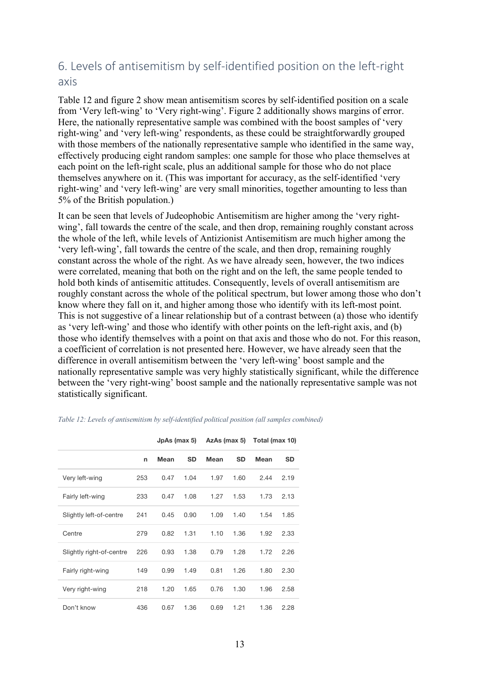## 6. Levels of antisemitism by self-identified position on the left-right axis

Table 12 and figure 2 show mean antisemitism scores by self-identified position on a scale from 'Very left-wing' to 'Very right-wing'. Figure 2 additionally shows margins of error. Here, the nationally representative sample was combined with the boost samples of 'very right-wing' and 'very left-wing' respondents, as these could be straightforwardly grouped with those members of the nationally representative sample who identified in the same way, effectively producing eight random samples: one sample for those who place themselves at each point on the left-right scale, plus an additional sample for those who do not place themselves anywhere on it. (This was important for accuracy, as the self-identified 'very right-wing' and 'very left-wing' are very small minorities, together amounting to less than 5% of the British population.)

It can be seen that levels of Judeophobic Antisemitism are higher among the 'very rightwing', fall towards the centre of the scale, and then drop, remaining roughly constant across the whole of the left, while levels of Antizionist Antisemitism are much higher among the 'very left-wing', fall towards the centre of the scale, and then drop, remaining roughly constant across the whole of the right. As we have already seen, however, the two indices were correlated, meaning that both on the right and on the left, the same people tended to hold both kinds of antisemitic attitudes. Consequently, levels of overall antisemitism are roughly constant across the whole of the political spectrum, but lower among those who don't know where they fall on it, and higher among those who identify with its left-most point. This is not suggestive of a linear relationship but of a contrast between (a) those who identify as 'very left-wing' and those who identify with other points on the left-right axis, and (b) those who identify themselves with a point on that axis and those who do not. For this reason, a coefficient of correlation is not presented here. However, we have already seen that the difference in overall antisemitism between the 'very left-wing' boost sample and the nationally representative sample was very highly statistically significant, while the difference between the 'very right-wing' boost sample and the nationally representative sample was not statistically significant.

|                          |     | JpAs (max 5) |           | AzAs (max 5) |           | Total (max 10) |           |  |
|--------------------------|-----|--------------|-----------|--------------|-----------|----------------|-----------|--|
|                          | n   | Mean         | <b>SD</b> | Mean         | <b>SD</b> | Mean           | <b>SD</b> |  |
| Very left-wing           | 253 | 0.47         | 1.04      | 1.97         | 1.60      | 2.44           | 2.19      |  |
| Fairly left-wing         | 233 | 0.47         | 1.08      | 1.27         | 1.53      | 1.73           | 2.13      |  |
| Slightly left-of-centre  | 241 | 0.45         | 0.90      | 1.09         | 1.40      | 1.54           | 1.85      |  |
| Centre                   | 279 | 0.82         | 1.31      | 1.10         | 1.36      | 1.92           | 2.33      |  |
| Slightly right-of-centre | 226 | 0.93         | 1.38      | 0.79         | 1.28      | 1.72           | 2.26      |  |
| Fairly right-wing        | 149 | 0.99         | 1.49      | 0.81         | 1.26      | 1.80           | 2.30      |  |
| Very right-wing          | 218 | 1.20         | 1.65      | 0.76         | 1.30      | 1.96           | 2.58      |  |
| Don't know               | 436 | 0.67         | 1.36      | 0.69         | 1.21      | 1.36           | 2.28      |  |

*Table 12: Levels of antisemitism by self-identified political position (all samples combined)*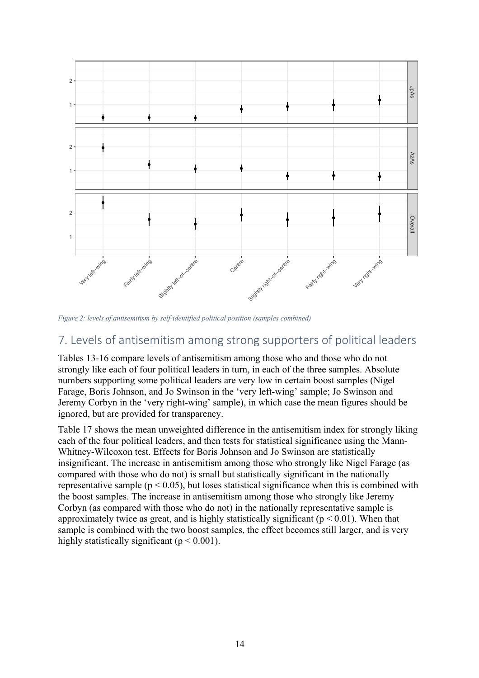

*Figure 2: levels of antisemitism by self-identified political position (samples combined)*

## 7. Levels of antisemitism among strong supporters of political leaders

Tables 13-16 compare levels of antisemitism among those who and those who do not strongly like each of four political leaders in turn, in each of the three samples. Absolute numbers supporting some political leaders are very low in certain boost samples (Nigel Farage, Boris Johnson, and Jo Swinson in the 'very left-wing' sample; Jo Swinson and Jeremy Corbyn in the 'very right-wing' sample), in which case the mean figures should be ignored, but are provided for transparency.

Table 17 shows the mean unweighted difference in the antisemitism index for strongly liking each of the four political leaders, and then tests for statistical significance using the Mann-Whitney-Wilcoxon test. Effects for Boris Johnson and Jo Swinson are statistically insignificant. The increase in antisemitism among those who strongly like Nigel Farage (as compared with those who do not) is small but statistically significant in the nationally representative sample ( $p < 0.05$ ), but loses statistical significance when this is combined with the boost samples. The increase in antisemitism among those who strongly like Jeremy Corbyn (as compared with those who do not) in the nationally representative sample is approximately twice as great, and is highly statistically significant ( $p < 0.01$ ). When that sample is combined with the two boost samples, the effect becomes still larger, and is very highly statistically significant ( $p < 0.001$ ).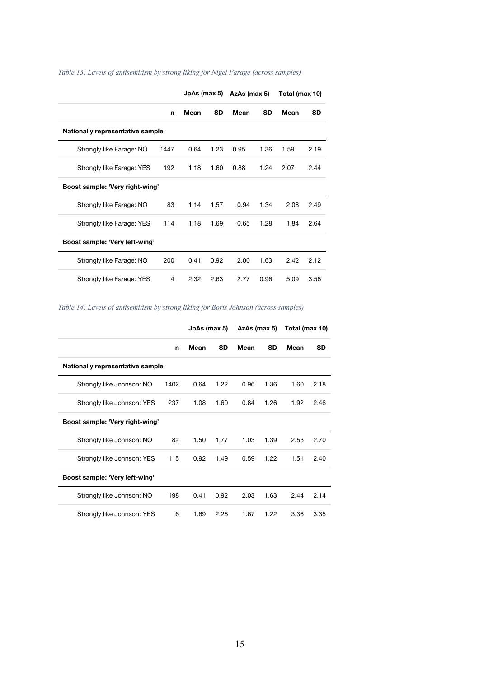|                                  |      | JpAs (max 5) |           | AzAs (max 5) |           | Total (max 10) |           |
|----------------------------------|------|--------------|-----------|--------------|-----------|----------------|-----------|
|                                  | n    | <b>Mean</b>  | <b>SD</b> | Mean         | <b>SD</b> | Mean           | <b>SD</b> |
| Nationally representative sample |      |              |           |              |           |                |           |
| Strongly like Farage: NO         | 1447 | 0.64         | 1.23      | 0.95         | 1.36      | 1.59           | 2.19      |
| Strongly like Farage: YES        | 192  | 1.18         | 1.60      | 0.88         | 1.24      | 2.07           | 2.44      |
| Boost sample: 'Very right-wing'  |      |              |           |              |           |                |           |
| Strongly like Farage: NO         | 83   | 1.14         | 1.57      | 0.94         | 1.34      | 2.08           | 2.49      |
| Strongly like Farage: YES        | 114  | 1.18         | 1.69      | 0.65         | 1.28      | 1.84           | 2.64      |
| Boost sample: 'Very left-wing'   |      |              |           |              |           |                |           |
| Strongly like Farage: NO         | 200  | 0.41         | 0.92      | 2.00         | 1.63      | 2.42           | 2.12      |
| Strongly like Farage: YES        | 4    | 2.32         | 2.63      | 2.77         | 0.96      | 5.09           | 3.56      |

*Table 13: Levels of antisemitism by strong liking for Nigel Farage (across samples)*

*Table 14: Levels of antisemitism by strong liking for Boris Johnson (across samples)*

|                                  |      | JpAs (max 5) |           | AzAs (max 5) |           | Total (max 10) |      |
|----------------------------------|------|--------------|-----------|--------------|-----------|----------------|------|
|                                  | n    | Mean         | <b>SD</b> | Mean         | <b>SD</b> | Mean           | SD   |
| Nationally representative sample |      |              |           |              |           |                |      |
| Strongly like Johnson: NO        | 1402 | 0.64         | 1.22      | 0.96         | 1.36      | 1.60           | 2.18 |
| Strongly like Johnson: YES       | 237  | 1.08         | 1.60      | 0.84         | 1.26      | 1.92           | 2.46 |
| Boost sample: 'Very right-wing'  |      |              |           |              |           |                |      |
| Strongly like Johnson: NO        | 82   | 1.50         | 1.77      | 1.03         | 1.39      | 2.53           | 2.70 |
| Strongly like Johnson: YES       | 115  | 0.92         | 1.49      | 0.59         | 1.22      | 1.51           | 2.40 |
| Boost sample: 'Very left-wing'   |      |              |           |              |           |                |      |
| Strongly like Johnson: NO        | 198  | 0.41         | 0.92      | 2.03         | 1.63      | 2.44           | 2.14 |
| Strongly like Johnson: YES       | 6    | 1.69         | 2.26      | 1.67         | 1.22      | 3.36           | 3.35 |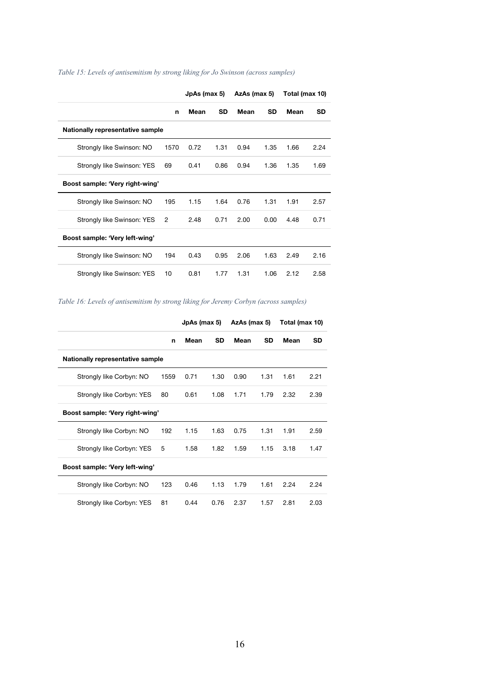|                                  |      | JpAs (max 5) |           | AzAs (max 5) |      | Total (max 10) |           |
|----------------------------------|------|--------------|-----------|--------------|------|----------------|-----------|
|                                  | n    | Mean         | <b>SD</b> | Mean         | SD   | Mean           | <b>SD</b> |
| Nationally representative sample |      |              |           |              |      |                |           |
| Strongly like Swinson: NO        | 1570 | 0.72         | 1.31      | 0.94         | 1.35 | 1.66           | 2.24      |
| Strongly like Swinson: YES       | 69   | 0.41         | 0.86      | 0.94         | 1.36 | 1.35           | 1.69      |
| Boost sample: 'Very right-wing'  |      |              |           |              |      |                |           |
| Strongly like Swinson: NO        | 195  | 1.15         | 1.64      | 0.76         | 1.31 | 1.91           | 2.57      |
| Strongly like Swinson: YES       | 2    | 2.48         | 0.71      | 2.00         | 0.00 | 4.48           | 0.71      |
| Boost sample: 'Very left-wing'   |      |              |           |              |      |                |           |
| Strongly like Swinson: NO        | 194  | 0.43         | 0.95      | 2.06         | 1.63 | 2.49           | 2.16      |
| Strongly like Swinson: YES       | 10   | 0.81         | 1.77      | 1.31         | 1.06 | 2.12           | 2.58      |

#### *Table 15: Levels of antisemitism by strong liking for Jo Swinson (across samples)*

*Table 16: Levels of antisemitism by strong liking for Jeremy Corbyn (across samples)*

|                                  |      | JpAs (max 5) |           | AzAs (max 5) |           | Total (max 10) |           |
|----------------------------------|------|--------------|-----------|--------------|-----------|----------------|-----------|
|                                  | n    | Mean         | <b>SD</b> | Mean         | <b>SD</b> | Mean           | <b>SD</b> |
| Nationally representative sample |      |              |           |              |           |                |           |
| Strongly like Corbyn: NO         | 1559 | 0.71         | 1.30      | 0.90         | 1.31      | 1.61           | 2.21      |
| Strongly like Corbyn: YES        | 80   | 0.61         | 1.08      | 1.71         | 1.79      | 2.32           | 2.39      |
| Boost sample: 'Very right-wing'  |      |              |           |              |           |                |           |
| Strongly like Corbyn: NO         | 192  | 1.15         | 1.63      | 0.75         | 1.31      | 1.91           | 2.59      |
| Strongly like Corbyn: YES        | 5    | 1.58         | 1.82      | 1.59         | 1.15      | 3.18           | 1.47      |
| Boost sample: 'Very left-wing'   |      |              |           |              |           |                |           |
| Strongly like Corbyn: NO         | 123  | 0.46         | 1.13      | 1.79         | 1.61      | 2.24           | 2.24      |
| Strongly like Corbyn: YES        | 81   | 0.44         | 0.76      | 2.37         | 1.57      | 2.81           | 2.03      |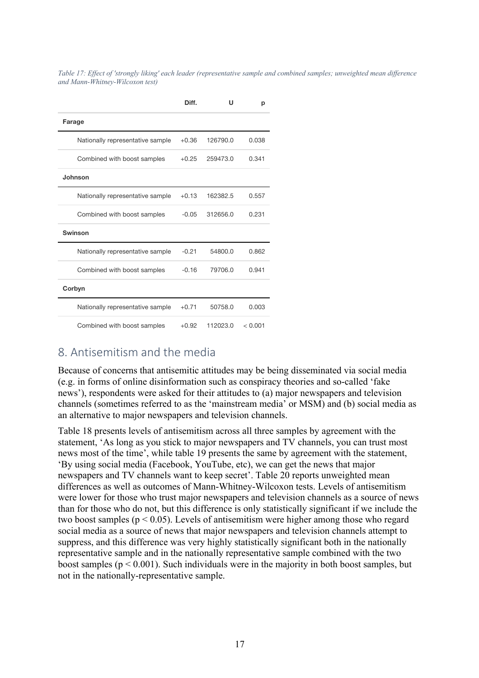*Table 17: Effect of 'strongly liking' each leader (representative sample and combined samples; unweighted mean difference and Mann-Whitney-Wilcoxon test)*

|                                  | Diff.   | U        | р       |
|----------------------------------|---------|----------|---------|
| Farage                           |         |          |         |
| Nationally representative sample | $+0.36$ | 126790.0 | 0.038   |
| Combined with boost samples      | $+0.25$ | 259473.0 | 0.341   |
| Johnson                          |         |          |         |
| Nationally representative sample | $+0.13$ | 162382.5 | 0.557   |
| Combined with boost samples      | $-0.05$ | 312656.0 | 0.231   |
| Swinson                          |         |          |         |
| Nationally representative sample | $-0.21$ | 54800.0  | 0.862   |
| Combined with boost samples      | $-0.16$ | 79706.0  | 0.941   |
| Corbyn                           |         |          |         |
| Nationally representative sample | $+0.71$ | 50758.0  | 0.003   |
| Combined with boost samples      | $+0.92$ | 112023.0 | < 0.001 |

### 8. Antisemitism and the media

Because of concerns that antisemitic attitudes may be being disseminated via social media (e.g. in forms of online disinformation such as conspiracy theories and so-called 'fake news'), respondents were asked for their attitudes to (a) major newspapers and television channels (sometimes referred to as the 'mainstream media' or MSM) and (b) social media as an alternative to major newspapers and television channels.

Table 18 presents levels of antisemitism across all three samples by agreement with the statement, 'As long as you stick to major newspapers and TV channels, you can trust most news most of the time', while table 19 presents the same by agreement with the statement, 'By using social media (Facebook, YouTube, etc), we can get the news that major newspapers and TV channels want to keep secret'. Table 20 reports unweighted mean differences as well as outcomes of Mann-Whitney-Wilcoxon tests. Levels of antisemitism were lower for those who trust major newspapers and television channels as a source of news than for those who do not, but this difference is only statistically significant if we include the two boost samples ( $p < 0.05$ ). Levels of antisemitism were higher among those who regard social media as a source of news that major newspapers and television channels attempt to suppress, and this difference was very highly statistically significant both in the nationally representative sample and in the nationally representative sample combined with the two boost samples ( $p < 0.001$ ). Such individuals were in the majority in both boost samples, but not in the nationally-representative sample.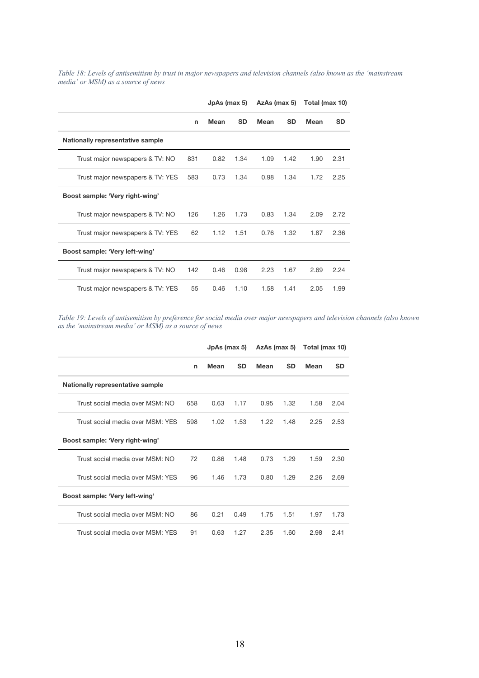*Table 18: Levels of antisemitism by trust in major newspapers and television channels (also known as the 'mainstream media' or MSM) as a source of news*

|                                  |     | JpAs (max 5) |           | AzAs (max 5) |           | Total (max 10) |           |
|----------------------------------|-----|--------------|-----------|--------------|-----------|----------------|-----------|
|                                  | n   | Mean         | <b>SD</b> | Mean         | <b>SD</b> | <b>Mean</b>    | <b>SD</b> |
| Nationally representative sample |     |              |           |              |           |                |           |
| Trust major newspapers & TV: NO  | 831 | 0.82         | 1.34      | 1.09         | 1.42      | 1.90           | 2.31      |
| Trust major newspapers & TV: YES | 583 | 0.73         | 1.34      | 0.98         | 1.34      | 1.72           | 2.25      |
| Boost sample: 'Very right-wing'  |     |              |           |              |           |                |           |
| Trust major newspapers & TV: NO  | 126 | 1.26         | 1.73      | 0.83         | 1.34      | 2.09           | 2.72      |
| Trust major newspapers & TV: YES | 62  | 1.12         | 1.51      | 0.76         | 1.32      | 1.87           | 2.36      |
| Boost sample: 'Very left-wing'   |     |              |           |              |           |                |           |
| Trust major newspapers & TV: NO  | 142 | 0.46         | 0.98      | 2.23         | 1.67      | 2.69           | 2.24      |
| Trust major newspapers & TV: YES | 55  | 0.46         | 1.10      | 1.58         | 1.41      | 2.05           | 1.99      |

*Table 19: Levels of antisemitism by preference for social media over major newspapers and television channels (also known as the 'mainstream media' or MSM) as a source of news*

|                                  |     | $JpAs$ (max 5) |           | AzAs (max 5) |           | Total (max 10) |           |
|----------------------------------|-----|----------------|-----------|--------------|-----------|----------------|-----------|
|                                  | n   | Mean           | <b>SD</b> | Mean         | <b>SD</b> | Mean           | <b>SD</b> |
| Nationally representative sample |     |                |           |              |           |                |           |
| Trust social media over MSM: NO  | 658 | 0.63           | 1.17      | 0.95         | 1.32      | 1.58           | 2.04      |
| Trust social media over MSM: YFS | 598 | 1.02           | 1.53      | 1.22         | 1.48      | 2.25           | 2.53      |
| Boost sample: 'Very right-wing'  |     |                |           |              |           |                |           |
| Trust social media over MSM: NO  | 72  | 0.86           | 1.48      | 0.73         | 1.29      | 1.59           | 2.30      |
| Trust social media over MSM: YES | 96  | 1.46           | 1.73      | 0.80         | 1.29      | 2.26           | 2.69      |
| Boost sample: 'Very left-wing'   |     |                |           |              |           |                |           |
| Trust social media over MSM: NO  | 86  | 0.21           | 0.49      | 1.75         | 1.51      | 1.97           | 1.73      |
| Trust social media over MSM: YFS | 91  | 0.63           | 1.27      | 2.35         | 1.60      | 2.98           | 2.41      |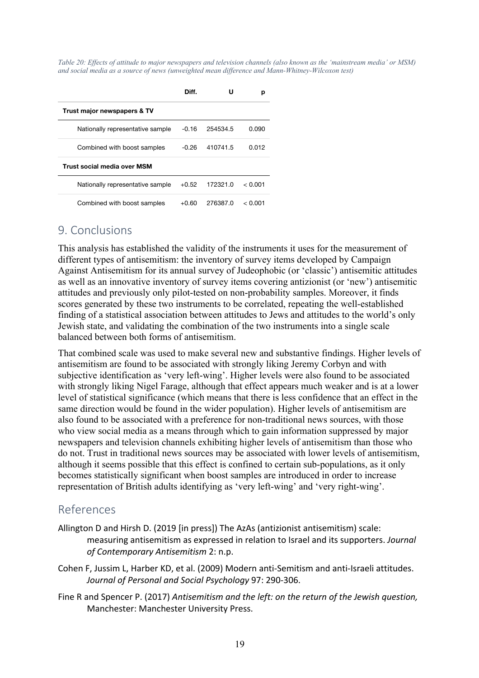*Table 20: Effects of attitude to major newspapers and television channels (also known as the 'mainstream media' or MSM) and social media as a source of news (unweighted mean difference and Mann-Whitney-Wilcoxon test)*

|                                    | Diff.   |          | р       |
|------------------------------------|---------|----------|---------|
| Trust major newspapers & TV        |         |          |         |
| Nationally representative sample   | -0.16   | 254534.5 | 0.090   |
| Combined with boost samples        | -0.26   | 410741.5 | 0.012   |
| <b>Trust social media over MSM</b> |         |          |         |
| Nationally representative sample   | $+0.52$ | 172321.0 | < 0.001 |
| Combined with boost samples        | +0.60   | 276387.0 | < 0.001 |

### 9. Conclusions

This analysis has established the validity of the instruments it uses for the measurement of different types of antisemitism: the inventory of survey items developed by Campaign Against Antisemitism for its annual survey of Judeophobic (or 'classic') antisemitic attitudes as well as an innovative inventory of survey items covering antizionist (or 'new') antisemitic attitudes and previously only pilot-tested on non-probability samples. Moreover, it finds scores generated by these two instruments to be correlated, repeating the well-established finding of a statistical association between attitudes to Jews and attitudes to the world's only Jewish state, and validating the combination of the two instruments into a single scale balanced between both forms of antisemitism.

That combined scale was used to make several new and substantive findings. Higher levels of antisemitism are found to be associated with strongly liking Jeremy Corbyn and with subjective identification as 'very left-wing'. Higher levels were also found to be associated with strongly liking Nigel Farage, although that effect appears much weaker and is at a lower level of statistical significance (which means that there is less confidence that an effect in the same direction would be found in the wider population). Higher levels of antisemitism are also found to be associated with a preference for non-traditional news sources, with those who view social media as a means through which to gain information suppressed by major newspapers and television channels exhibiting higher levels of antisemitism than those who do not. Trust in traditional news sources may be associated with lower levels of antisemitism, although it seems possible that this effect is confined to certain sub-populations, as it only becomes statistically significant when boost samples are introduced in order to increase representation of British adults identifying as 'very left-wing' and 'very right-wing'.

## References

- Allington D and Hirsh D. (2019 [in press]) The AzAs (antizionist antisemitism) scale: measuring antisemitism as expressed in relation to Israel and its supporters. *Journal of Contemporary Antisemitism* 2: n.p.
- Cohen F, Jussim L, Harber KD, et al. (2009) Modern anti-Semitism and anti-Israeli attitudes. *Journal of Personal and Social Psychology* 97: 290-306.
- Fine R and Spencer P. (2017) *Antisemitism and the left: on the return of the Jewish question,*  Manchester: Manchester University Press.